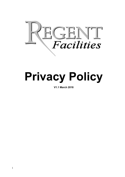

# **Privacy Policy**

**V1.1 March 2018**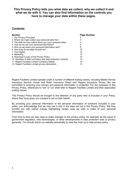### **This Privacy Policy tells you what data we collect, why we collect it and what we do with it. You can also find information on the controls you have to manage your data within these pages.**

## **Contents**

| <b>Section</b>                                                  | Page Number |
|-----------------------------------------------------------------|-------------|
| 1. Our Privacy Principles                                       |             |
| 2. Where we might collect your personal data from               | 3           |
| 3. The data we may collect about you (your personal data)       | 3           |
| 4. How do we use your personal information?                     | 4           |
| 5. Who do we share your personal information with?              | 9           |
| 6. How long do we keep records for?                             | 10          |
| 7. Your Rights                                                  | 10          |
| 8. Marketing                                                    | 12          |
| 9. Download a copy of the Privacy Policy                        | 12          |
| 10. Identities of data controllers and data protection contacts | 12          |
| 11. Regent Facilities Limited Company Details                   | 13          |
| 12. Regent Facilities Limited privacy declaration               | 14          |

Regent Facilities Limited operate under a number of different trading names, including Mobile Homes Insurance Service, Horse and Rider Insurance Direct and Regent Insurance Group. We are committed to ensuring your privacy and personal information is protected. For the purposes of this Privacy Policy, references to "we" or "us" shall refer to Regent Facilities Limited and their associated trading names.

This Privacy Policy should be brought to the attention of any party who is included in your Policy, where they have given you consent to act on their behalf.

By providing your personal information or the personal information of someone included in your policy, you acknowledge that we may use it only in the ways set out in this Privacy Policy. We may provide you with further notices highlighting certain uses we wish to make of your personal information.

From time to time we may need to make changes to this privacy policy, for example, as the result of government regulation, new technologies, or other developments in data protection laws or privacy generally. You should check our website periodically to view the most up to date privacy policy.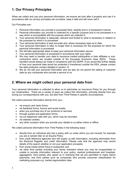# **1. Our Privacy Principles**

When we collect and use your personal information, we ensure we look after it properly and use it in accordance with our privacy principles set out below, keep it safe and will never sell it.

Our Principles are:-

- 1. Personal information you provide is processed fairly, lawfully and in a transparent manner
- 2. Personal information you provide is collected for a specific purpose and is not processed in a way which is incompatible with the purpose which we collected it
- 3. Your personal information is adequate, relevant and limited to what is necessary in relation to the purposes for which it is processed
- 4. Your personal information is kept accurate and, where necessary kept up to date
- 5. Your personal information is kept no longer than is necessary for the purposes for which the personal information is processed
- 6. We will take appropriate steps to keep your personal information secure
- 7. Your personal information is processed in accordance with your rights
- 8. We may need to transfer your data to insurance market participants or their affiliates or subcontractors which are located outside of the European Economic Area (EEA). Those transfers would always be made in compliance with the GDPR. If you would like further details of how your personal data would be protected if transferred outside the EEA, please contact the data protection contact detailed in section 10
- 9. We do not sell your personal information and we also do not permit the selling of customer data by any companies who provide a service to us

## **2. Where we might collect your personal data from**

Your personal information is collected to allow us to administer an Insurance Policy for you through our Underwriters. There are a variety of ways we collect this information, primarily directly from you during our correspondence with you, but also from Third Parties in specific circumstances.

We collect personal information directly from you:-

- via enquiry and claim forms;
- via feedback forms, forums and social media;
- when you purchase any of our products or services;
- through quotes and application forms;
- via our telephone calls with you, which may be recorded;
- via website cookies:
- any other occasion when you provide your details to us either online or offline

We collect personal information from Third Parties in the following ways:-

- directly from an individual who has a policy with us under which you are insured, for example you are a named rider on an Equine Policy
- from credit reference agencies who will supply us with information, including information from the Electoral Register and credit information. Please note that the agencies may record details of the search whether or not your application proceeds;
- from social media where fraud is suspected; and
- via other third parties including your family members where you may be incapacitated or unable to provide information relevant to your policy; medical professionals and hospitals; aggregators; third parties who assist us in checking that we are permitted to make claims payments; and third parties such as companies who provide consumer classification for marketing purposes e.g. market segmentation data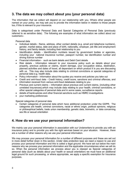# **3. The data we may collect about you (your personal data)**

The information that we collect will depend on our relationship with you. Where other people are named on your policy, we may ask you to provide the information below in relation to those people too, if this is relevant to your insurance.

Data is categorised under Personal Data and Special Categories of Personal Data (previously referred to as sensitive data). The following are examples of what information we collect about our customers:-

Personal data

- Individual details Name, address, other contact details (e.g. email and telephone numbers), gender, marital status, date and place of birth, nationality, employer, job title and employment history, and family details, including their relationship to you
- Identification details Identification numbers issued by government bodies or agencies, including your national insurance number, passport number, tax identification number and driving licence number
- Financial information such as bank details and Debit Card details
- Risk details Information relevant to your insurance policy such as details about your property, previous policies or claims, recent damage, your occupation status, destination, planned activities and dates of travel, all dependant on which product it is you are discussing with us. This may also include data relating to criminal convictions or special categories of personal data e.g. health data.
- Policy information Information about the quotes you receive and policies you take out
- Credit and anti-fraud data Credit history, credit score, sanctions and criminal offences, and information received from various anti-fraud databases relating to you
- Previous and current claims Information about previous and current claims, (including other unrelated insurances),which may include data relating to your health, criminal convictions, or other special categories of personal data and in some cases, surveillance reports
- details of bankruptcies and other financial sanctions such as HMRC investigations
- your marketing preferences

Special categories of personal data

• Certain categories of personal data which have additional protection under the GDPR. The categories are health, criminal convictions, racial or ethnic origin, political opinions, religious or philosophical beliefs, trade union membership, genetic data, biometric, or data concerning sex life or sexual orientation

## **4. How do we use your personal information?**

We mainly use your personal information in association with our Underwriters to provide you with an insurance policy and to provide you with the right services based on your situation. However, there are a number of other reasons why we use your personal information.

We may process your personal information for a number of different purposes and these are set out in more detail further down in this section. Under data protection laws we need a reason to use and process your personal information and this is called a legal ground. We have set out below the main reasons why we process your personal information and the applicable circumstances when we will do so. When the personal information we process about you is classed as Special categories of personal data (such as details about your health or sexual orientation) we must have an additional legal ground for such processing, or where appropriate, we apply a specific exemption for Insurance purposes.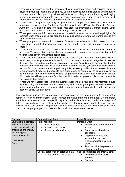- Processing is necessary for the provision of your insurance policy and services, such as assessing your application and setting you up as a policyholder, administering and managing your insurance policy, providing all related services, providing a quote, handling and paying claims and communicating with you. In these circumstances, if you do not provide such information, we will be unable to offer you a policy or process your claim.
- Where there is a legal or regulatory obligation to use such personal information, for example, when our regulators, the Prudential Regulatory Authority, (PRA), the Financial Conduct Authority (FCA) and our data protection regulator, the Information Commissioner's Office (ICO) wish us to maintain certain records of any dealings with you.
- Where your personal information is needed to establish, exercise or defend legal rights, for example when Insurers or us are faced with any legal claims or where we want to pursue any legal claims ourselves.
- Where your personal information is needed for reasons of substantial public interest, such as investigating fraudulent claims and carrying out fraud, credit and anti-money laundering checks.
- Where there is a specific legal exemption to process sensitive personal data for insurance purposes. This exemption applies where your information is processed as an essential part of the insurance cover, for example health data.
- Where you have provided your consent to our use of your personal information. We will usually only ask for your consent in relation to processing your special categories of personal data or when providing marketing information to you (including information about other products and services). This will be made clear when you provide your personal information. If we ask for your consent we will explain why it is necessary. Without your consent in some circumstances, it may not be possible to provide cover or handle claims or you may not be able to benefit from some services. Where you provide sensitive personal information about a third party we will ask you to confirm that the third party has provided his or her consent for you to act of their behalf.
- Where we have appropriate legitimate business needs to use your personal information such as maintaining our business records, developing and improving our products and services, all whilst ensuring that such business need does not interfere with your rights and freedoms and does not cause you any harm.

. The table below outlines the categories of personal data you may provide us with as a client to administer your Insurance Policy. Each Purpose may have more than one Legal Ground stated and this is because we have one specific Legal Ground applicable for each individual category of data. If you wish to have anything further elaborated for you, please contact us and we will answer any of your queries. Regent Facilities Limited is committed to providing information about our processing of your personal data in a fair, lawful and transparent manner.

| <b>Purpose</b>                                                                                                                                                                | <b>Categories of Data</b>                                                                                                                    | <b>Legal Grounds</b>                                                                                                                                                                                                                                                                  |
|-------------------------------------------------------------------------------------------------------------------------------------------------------------------------------|----------------------------------------------------------------------------------------------------------------------------------------------|---------------------------------------------------------------------------------------------------------------------------------------------------------------------------------------------------------------------------------------------------------------------------------------|
| <b>Quotation/Inception:</b><br>Setting you up as a<br>client, including fraud,<br>credit and anti-money<br>laundering and<br>sanctions checks<br>Disclosures:<br><b>Banks</b> | Personal data:<br>Individual details<br>$\bullet$<br><b>Identification details</b><br>$\bullet$<br><b>Financial information</b><br>$\bullet$ | Personal Data:<br>Performance of the contract<br>with you<br>Compliance with a legal<br>$\bullet$<br>obligation<br>Legitimate interests (to<br>$\bullet$<br>ensure that the client is<br>within our acceptable risk<br>profile<br>To assist with the prevention<br>of crime and fraud |
|                                                                                                                                                                               | Special categories of personal data:<br>Credit and anti-fraud data                                                                           | Special categories of personal data:<br>In the substantial public<br>$\bullet$<br>interest<br>Consent                                                                                                                                                                                 |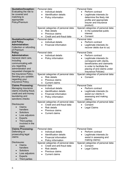| <b>Quotation/Inception:</b><br>Evaluating the risk to<br>be covered and<br>matching to<br>appropriate<br>Policy/Premium                                           | Personal data:<br>Individual details<br>$\bullet$<br><b>Identification details</b><br>$\bullet$<br>Policy information<br>$\bullet$<br>Special categories of personal data:<br><b>Risk details</b><br>Previous claims<br>Credit and anti-fraud data | Personal Data:<br>Perform contract<br>$\bullet$<br>Legitimate interests (to<br>determine the likely risk<br>profile and appropriate<br>insurer and insurance<br>product)<br>Special categories of personal data:<br>In the substantial public<br>interest<br>Consent |
|-------------------------------------------------------------------------------------------------------------------------------------------------------------------|----------------------------------------------------------------------------------------------------------------------------------------------------------------------------------------------------------------------------------------------------|----------------------------------------------------------------------------------------------------------------------------------------------------------------------------------------------------------------------------------------------------------------------|
| <b>Quotation/Inception</b><br>and Policy<br><b>Administration:</b><br>Collection or refunding<br>of Premium                                                       | Personal data:<br>Individual details<br>$\bullet$<br><b>Financial information</b>                                                                                                                                                                  | Personal data:<br>Perform contract<br>$\bullet$<br>Legitimate interests (to<br>recover debts due to us)                                                                                                                                                              |
| <b>Policy</b><br><b>Administration:</b><br>General client care,<br>including<br>communicating with<br>you regarding<br>administration and<br>requested changes to | Personal data:<br>Individual details<br>$\bullet$<br>Policy information<br>$\bullet$                                                                                                                                                               | Personal Data:<br>Perform contract<br>$\bullet$<br>Legitimate interests (to<br>$\bullet$<br>correspond with clients,<br>beneficiaries and claimants<br>in order to facilitate the<br>placing of and claims under<br>Insurance Policies)                              |
| the Insurance Policy.<br>Sending you updates<br>regarding your<br>Insurance Policy.                                                                               | Special categories of personal data:<br><b>Risk details</b><br>$\bullet$<br>Previous claims<br>$\bullet$<br><b>Current claims</b><br>$\bullet$                                                                                                     | Special categories of personal data:<br>Consent                                                                                                                                                                                                                      |
| <b>Claims Processing:</b><br>Managing insurance<br>claims including fraud,<br>credit and anti-money<br>laundering and<br>sanctions checks                         | Personal data:<br>Individual details<br>$\bullet$<br><b>Identification details</b><br>$\bullet$<br><b>Financial information</b><br>$\bullet$<br>Policy information<br>$\bullet$                                                                    | Personal Data:<br>Perform contract<br>$\bullet$<br>Legitimate interests (to<br>$\bullet$<br>assist our clients in<br>assessing and making<br>claims)                                                                                                                 |
| Disclosures:<br>Claims<br>handlers<br>Solicitors<br>$\bullet$<br>Loss adjustors<br><b>Experts</b><br>Third parties<br>involved in the<br>claim                    | Special categories of personal data:<br>Credit and anti-fraud data<br>$\bullet$<br><b>Risk details</b><br>$\bullet$<br>Previous claims<br><b>Current claims</b>                                                                                    | Special categories of personal data:<br>Consent<br>Legal Claims                                                                                                                                                                                                      |
| <b>Claims Processing:</b><br>Defending or<br>prosecuting legal<br>claims                                                                                          | Personal data:<br>Individual details<br>$\bullet$<br>Identification details<br>$\bullet$<br><b>Financial information</b><br>$\bullet$<br>Policy information<br>$\bullet$                                                                           | Personal Data:<br>Perform contract<br>$\bullet$<br>Legitimate interests (to<br>assist in assessing and<br>making claims)                                                                                                                                             |
| Disclosures:<br>Claims<br>$\bullet$<br>handlers<br><b>Solicitors</b><br>Loss adjustors<br><b>Experts</b><br>Third parties<br>$\bullet$                            | Special categories of personal data:<br>Credit and anti-fraud data<br><b>Risk details</b><br>Previous claims<br><b>Current claims</b>                                                                                                              | Special categories of personal data:<br>Consent<br>Legal Claims                                                                                                                                                                                                      |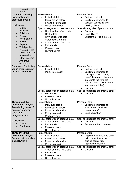| involved in the<br>claim                                                                                                                                                                                                                                                                                                |                                                                                                                                                                                                                                                                                                                                                                                       |                                                                                                                                                                                                                                   |
|-------------------------------------------------------------------------------------------------------------------------------------------------------------------------------------------------------------------------------------------------------------------------------------------------------------------------|---------------------------------------------------------------------------------------------------------------------------------------------------------------------------------------------------------------------------------------------------------------------------------------------------------------------------------------------------------------------------------------|-----------------------------------------------------------------------------------------------------------------------------------------------------------------------------------------------------------------------------------|
| <b>Claims Processing:</b><br>Investigating and<br>prosecuting fraud<br>Disclosures:<br>Claims<br>handlers<br><b>Solicitors</b><br>Private<br>investigators<br>Police<br><b>Experts</b><br>Third parties<br>$\bullet$<br>involved in the<br>investigation or<br>prosecution<br>Other insurers<br>Anti-fraud<br>databases | Personal data:<br>Individual details<br>Identification details<br><b>Financial information</b><br>Policy information<br>$\bullet$<br>Special categories of personal data:<br>Credit and anti-fraud data<br>Health data<br>Criminal records data<br>$\bullet$<br>Other sensitive data<br>Credit and anti-fraud data<br><b>Risk details</b><br>Previous claims<br><b>Current claims</b> | Personal Data:<br>Perform contract<br>$\bullet$<br>Legitimate interests (to<br>assist in assessing and<br>making claims)<br>Special categories of personal data:<br>Consent<br>Legal Claims<br><b>Substantial Public interest</b> |
| <b>Renewals: Contacting</b><br>you in order to renew<br>the insurance Policy                                                                                                                                                                                                                                            | Personal data:<br>Individual details<br>Policy information                                                                                                                                                                                                                                                                                                                            | Personal Data:<br>Perform contract<br>Legitimate interests (to<br>correspond with clients,<br>beneficiaries and claimants<br>in order to facilitate the<br>placing of and claims under<br>insurance policies)<br>Consent          |
|                                                                                                                                                                                                                                                                                                                         | Special categories of personal data:<br><b>Risk details</b><br>Previous claims<br><b>Current claims</b>                                                                                                                                                                                                                                                                               | Special categories of personal data:<br>Consent                                                                                                                                                                                   |
| <b>Throughout the</b><br><b>Insurance Lifecycle:</b><br>Transferring books of<br>business, company<br>sales and<br>reorganisations                                                                                                                                                                                      | Personal data:<br>Individual details<br>$\bullet$<br><b>Identification details</b><br>$\bullet$<br>Financial information<br>$\bullet$<br>Policy information<br>Marketing data<br>Special categories of personal data:                                                                                                                                                                 | Personal Data:<br>Legitimate interests (to<br>$\bullet$<br>structure our business<br>appropriately)<br>Legal obligation<br>Special categories of personal data:                                                                   |
| Disclosures:<br>Courts<br>Purchaser                                                                                                                                                                                                                                                                                     | Credit and anti-fraud data<br><b>Risk details</b><br>$\bullet$<br>Previous claims<br>$\bullet$<br><b>Current claims</b><br>٠                                                                                                                                                                                                                                                          | Consent<br><b>Substantial Public interest</b>                                                                                                                                                                                     |
| <b>Throughout the</b><br><b>Insurance Lifecycle:</b><br>General risk modelling<br>& underwriting                                                                                                                                                                                                                        | Personal data:<br>Individual details<br>$\bullet$<br>Identification details<br><b>Financial information</b><br>Policy information<br>$\bullet$                                                                                                                                                                                                                                        | Personal Data:<br>Legitimate interests (to build<br>risk models that allow<br>placing of risk with<br>appropriate insurers)                                                                                                       |
|                                                                                                                                                                                                                                                                                                                         | Special categories of personal data:<br>Credit and anti-fraud data<br><b>Risk details</b><br>$\bullet$<br>Previous claims<br>٠<br><b>Current claims</b>                                                                                                                                                                                                                               | Special categories of personal data:<br>Consent                                                                                                                                                                                   |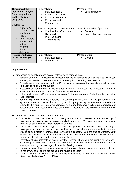| <b>Throughout the</b><br><b>Insurance Lifecycle:</b><br>Complying with our<br>legal or regulatory<br>obligations<br>Disclosures:                           | Personal data:<br>Individual details<br><b>Identification details</b><br>$\bullet$<br>Financial information<br>$\bullet$<br>Policy information<br>$\bullet$<br>Marketing data<br>$\bullet$ | Personal Data:<br>Legal obligation                                                    |
|------------------------------------------------------------------------------------------------------------------------------------------------------------|--------------------------------------------------------------------------------------------------------------------------------------------------------------------------------------------|---------------------------------------------------------------------------------------|
| PRA, FCA,<br>$\bullet$<br>ICO and other<br>regulators<br>Police<br>$\bullet$<br>Other insurers<br>(under court<br>order)<br>Insurance<br>Fraud<br>database | Special categories of personal data:<br>Credit and anti-fraud data<br>Risk details<br>$\bullet$<br>Previous claims<br><b>Current claims</b>                                                | Special categories of personal data:<br>Consent<br><b>Substantial Public interest</b> |
| <b>Provide marketing</b><br>information to you                                                                                                             | Personal data:<br>Individual details<br>Marketing data<br>٠                                                                                                                                | Personal Data:<br>Consent                                                             |

#### **Legal Grounds**

For processing personal data and special categories of personal data

- Perform Contract Processing is necessary for the performance of a contract to which you are party or in order to take steps at your request prior to entering into a contract.
- Compliance with a legal obligation Processing is necessary for compliance with a legal obligation to which we are subject.
- Protection of vital interests of you or another person Processing is necessary in order to protect the vital interests of you or of another natural person.
- In the public interest Processing is necessary for the performance of a task carried out in the public interest.
- For our legitimate business interests Processing is necessary for the purposes of the legitimate interests pursued by us or by a third party, except where such interests are overridden by your interests or fundamental rights and freedoms which require protection of personal data, in particular where you are a child. These legitimate interests are set out next to each purpose.

For processing special categories of personal data

- You explicit consent (optional) You have given your explicit consent to the processing of those personal data for one or more specified purposes. You are free to withdraw your consent, by contacting our Data Protection Contact.
- Your explicit consent (necessary) You have given your explicit consent to the processing of those personal data for one or more specified purposes, where we are unable to procure, provide or administer insurance cover without this consent. You are free to withdraw your consent by contacting our Data Protection Contact. However withdrawal of this consent will impact our ability to provide insurance or pay claims.
- Protection of vital interests of you or another person where you are unable to consent Processing is necessary to protect the vital interests of you or of another natural person where you are physically or legally incapable of giving consent.
- For legal claims Processing is necessary for the establishment, exercise or defence of legal claims or whenever courts are acting in their judicial capacity.
- In the substantial public interest Processing is necessary for reasons of substantial public interest, on the basis of EU or UK law.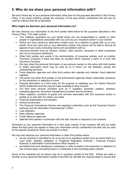# **5. Who do we share your personal information with?**

We won't share any of your personal information other than for the purposes described in this Privacy Policy. If we share anything outside the company, it'll be kept strictly confidential and will only be used for reasons that we've described.

#### **Who might we disclose your personal information to?**

We also disclose your information to the third parties listed below for the purposes described in this Privacy Policy. This might include:

- Your relatives, guardians (on your behalf where you are incapacitated or unable) or other people or organisations associated with you such as your insurance broker or your solicitor
- Where you have named an alternative contact (such as a relative) to speak with us on your behalf. Once you have told us your alternative contact, this person will be able to discuss all aspects of your policy (including claims and cancellation) with us
- Insurance partners such as Insurers, brokers, other insurers, reinsurers or other companies who act as insurance distributors
- Other third parties who assist in the administration of insurance policies such as another Insurance Company if there has been an accident which requires a claim to or from that Insurance Company
- We may share the personal information of any persons named on the policy with third parties to obtain information which may be used by us to inform our risk selection, pricing and underwriting decisions
- Fraud detection agencies and other third parties who operate and maintain fraud detection registers
- The police and other third parties or law enforcement agencies where reasonably necessary for the prevention or detection of crime
- Passing information to a third party for the purpose of validating your No Claims Discount (NCD) entitlement and this may be made available to other insurers
- Our third party services providers such as IT suppliers, actuaries, auditors, solicitors, marketing agencies, document management providers and tax advisers
- Other suppliers, providers of goods and services associated with this insurance and/or to enable us to deal with any claims you make
- Financial organisations and advisers
- Central Government
- The Financial Ombudsman Service and regulatory authorities such as the Financial Conduct Authority and the Information Commissioner's Office
- Loss Adjusters
- Debt collection agencies
- Credit reference agencies
- Selected third parties in connection with the sale, transfer or disposal of our business

Disclosure of your personal information to a third party outside of the company will only be made where the third party has agreed to keep your information strictly confidential and shall only be used for the specific purpose for which we provide it to them.

We may also disclose your personal information to other third parties where:

- we are required or permitted to do so by law or by regulatory bodies such as where there is a court order, statutory obligation or Prudential Regulatory Authority / Financial Conduct Authority or Information Commissioners Office request; or
- we believe that such disclosure is necessary in order to assist in the prevention or detection of any criminal action (including fraud) or is otherwise in the overriding public interest.

Some of the recipients set out above may be in countries outside of the EEA. Where we make a transfer of your personal information outside of the EEA we will take the required steps to ensure that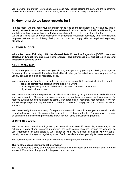your personal information is protected. Such steps may include placing the party we are transferring personal information to under contractual obligations to protect it to adequate standards.

## **6. How long do we keep records for?**

In most cases, we only keep your information for as long as the regulations say we have to. This is usually between three and ten years after our relationship with you ends but it will vary depending on what data we hold, why we hold it and what we're obliged to do by the regulator or the law. We will only keep your personal information for as long as reasonably necessary to fulfil the relevant purposes set out in this Privacy Policy and in order to comply with our legal and regulatory obligations.

# **7. Your Rights**

**With effect from 25th May 2018 the General Data Protection Regulation (GDPR) becomes effective in English law and your rights change. The differences are highlighted in pre and post GDPR sections below.** 

#### **Prior to 25 May 2018:**

At any time, you can ask us to correct your details, to stop sending you any marketing messages or for a copy of your personal information. We'll either do what you've asked, or explain why we can't – usually because of a legal or regulatory issue.

You have a number of rights in relation to our use of your personal information including the right to:

- ask us to correct your personal information if it is wrong
- object to processing of your personal information in certain circumstances
- object to direct marketing.

You can make any of the requests set out above at any time by using the contact details shown in your documentation. Please note in some cases we may not be able to comply with your request for reasons such as our own obligations to comply with other legal or regulatory requirements. However, we will always respond to any request you make and if we can't comply with your request, we will tell you why.

You have the right to obtain a copy of the personal information we hold about you and certain details regarding how we use it. Please note that there will be a £10 charge for this. You can make a request by contacting our office using the details shown in your Terms of Business agreement.

#### **25 May 2018 onwards:**

You can ask us to do various things with your personal information. For example, at any time you can ask us for a copy of your personal information, ask us to correct mistakes, change the way we use your information, or even delete it. We'll either do what you've asked, or explain why we can't usually because of a legal or regulatory issue. For further details about your rights please see below

You have the following rights in relation to our use of your personal information.

#### **The right to access your personal information**

You are entitled to a copy of the personal information we hold about you and certain details of how we use it. We will not charge you for the provision of this data**.**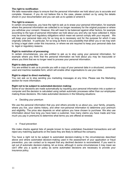#### **The right to rectification**

We take reasonable steps to ensure that the personal information we hold about you is accurate and complete. However, if you do not believe this is the case, please contact us by using the details shown in your documentation and you can ask us to update or amend it.

#### **The right to erasure:**

In certain circumstances, you have the right to ask us to erase your personal information, for example where the personal information we collected is no longer necessary for the original purpose or where you withdraw your consent. However, this will need to be balanced against other factors, for example according to the type of personal information we hold about you and why we have collected it, there may be some legal and regulatory obligations which mean we cannot comply with your request. We will keep your personal data only for so long as is necessary and for the purpose for which it was originally collected. In particular, for so long as there is any possibility that either you or we may wish to bring a legal claim under this insurance, or where we are required to keep your personal data due to legal or regulatory reasons.

#### **Right to restriction of processing:**

In certain circumstances, you are entitled to ask us to stop using your personal information, for example where you think that the personal information we hold about you may be inaccurate or where you think that we no longer need to process your personal information.

#### **Right to data portability:**

You are entitled to ask us to provide you with a copy of your personal data in a structured, commonly used and machine readable form, which will enable other organisations to use your data.

#### **Right to object to direct marketing:**

You can ask us to stop sending you marketing messages at any time. Please see the Marketing section for more information.

#### **Right not to be subject to automated-decision making:**

Some of our decisions are made automatically by inputting your personal information into a system or computer and the decision is calculated using certain automatic processes rather than our employees making those decisions. We make automated decisions in the following situations:

• Deciding your premium

We use the personal information that you and others provide to us about you, your family, property, where you live, your claims history, and other non-personal information to determine your premium and eligibility. The price also depends on what options you have chosen to purchase. We also use information about how long you have been a customer, how many claims you have made and how much you pay in premiums to determine what terms you are offered at renewal.

#### • Fraud prevention

We make checks against lists of people known to have undertaken fraudulent transactions and will reject any matching applicants on the basis they are likely to defraud the company.

. You have a right not to be subject to automated decision-making in the circumstances described above and where automated decision-making used in the assessment of your application or fraud prevention, you can contact us to request that any declined decision is reconsidered. If you want to opt out of automatic decision-making, let us know, although in some circumstances it may mean we can't offer you a quote or policy as some automated decisions are necessary to provide your insurance policy.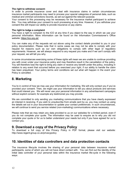#### **The right to withdraw consent:**

In order to provide insurance cover and deal with insurance claims in certain circumstances insurance market participants may need to process your special categories of personal data, such as medical and criminal convictions records, as set out against the relevant purpose.

Your consent to this processing may be necessary for the insurance market participant to achieve this. You may withdraw your consent to such processing at any time. However, if you withdraw your consent this will impact our ability to provide insurance or pay claims.

#### **The right to lodge a complaint**

You have a right to complain to the ICO at any time if you object to the way in which we use your personal information. More information can be found on the Information Commissioner's Office website: https://ico.org.uk/

You can make any of the requests set out above using the contact details provided to you in your policy documentation. Please note that in some cases we may not be able to comply with your request for reasons such as our own obligations to comply with other legal or regulatory requirements. However, we will always respond to any request you make and if we can't comply with your request, we will tell you why.

In some circumstances exercising some of these rights will mean we are unable to continue providing you with cover under your insurance policy and may therefore result in the cancellation of the policy. You will therefore lose the right to bring any claim or receive any benefit under the policy, including in relation to any event that occurred before you exercised your right, if our ability to handle the claim has been prejudiced. Your policy terms and conditions set out what will happen in the event your Policy is cancelled.

## **8. Marketing**

You're in control of how we may use your information for marketing. We will only contact you if you've provided your consent. Then, we might use your information to tell you about products and services that could interest you. We will never use your personal information in any advertisement campaigns without explicit consent, for example any testimonial you may provide.

We are committed to only sending you marketing communications that you have clearly expressed an interest in receiving. If you wish to unsubscribe from emails sent by us, you may contact us using the details set out in your documentation to update your contact preferences. In such circumstances, we will continue to send you service related (non-marketing) communications where necessary.

Please note that we may retain any data provided to us on our websites for a limited period, even if you do not complete your quote. The information may be used to enquire as to why you did not complete your quote or for us to better understand your needs but only if you have agreed for us to contact you.

## **9. Download a copy of the Privacy Policy**

To download a full copy of this Privacy Policy in PDF format, please visit our website: http://www.regent-group.co.uk/privacypolicy

## **10. Identities of data controllers and data protection contacts**

The insurance lifecycle involves the sharing of your personal data between insurance market participants, some of which you will not have direct contact with. You can find out the identity of the initial data controller of your personal data within the insurance market life-cycle in the following ways: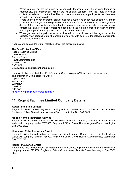- Where you took out the insurance policy yourself: the insurer and, if purchased through an intermediary, the intermediary will be the initial data controller and their data protection contact can advise you on the identities of other insurance market participants that they have passed your personal data to.
- Where your employer or another organisation took out the policy for your benefit: you should contact your employer or the organisation that took out the policy who should provide you with details of the insurer or intermediary that they provided your personal data to and you should contact their data protection contact who can advise you on the identities of other insurance market participants that they have passed your personal data to
- Where you are not a policyholder or an insured: you should contact the organisation that collected your personal data who should provide you with details of the relevant participant's data protection contact.

If you wish to contact the Data Protection Officer the details are below:

#### **The Data Protection Officer:**

Regent Facilities Limited Crown House Augusta Place Royal Leamington Spa **Warwickshire** CV32 5EL Email Address: dpo@regent-group.co.uk

If you would like to contact the UK's Information Commissioner's Officer direct; please write to: The Information Commissioner's Office,

Wycliffe House Water Lane Wilmslow **Cheshire** SK9 5AF https://ico.org.uk/global/contact-us/email/

## **11. Regent Facilities Limited Company Details**

#### **Regent Facilities Limited**

Regent Facilities Limited, registered in England and Wales with company number 7735900. Registered Office: Crown House, Augusta Place, Leamington Spa CV32 5EL.

#### **Mobile Homes Insurance Service**

Regent Facilities Limited trading as Mobile Homes Insurance Service, registered in England and Wales with company number 7735900. Registered Office: Crown House, Augusta Place, Leamington Spa CV32 5EL.

#### **Horse and Rider Insurance Direct**

Regent Facilities Limited trading as Horse and Rider Insurance Direct, registered in England and Wales with company number 7735900. Registered Office: Crown House, Augusta Place, Leamington Spa CV32 5EL.

#### **Regent Insurance Group**

Regent Facilities Limited trading as Regent Insurance Group, registered in England and Wales with company number 7735900. Registered Office: Crown House, Augusta Place, Leamington Spa CV32 5EL.